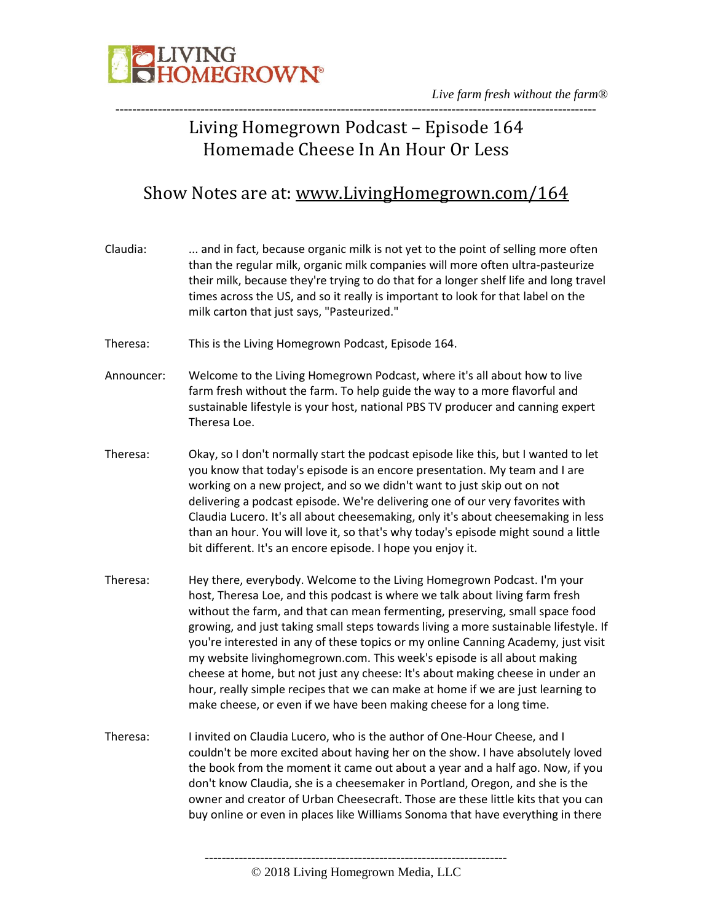

### Living Homegrown Podcast – Episode 164 Homemade Cheese In An Hour Or Less

### Show Notes are at: [www.LivingHomegrown.com/164](http://www.livinghomegrown.com/164)

| Claudia:   | and in fact, because organic milk is not yet to the point of selling more often<br>than the regular milk, organic milk companies will more often ultra-pasteurize<br>their milk, because they're trying to do that for a longer shelf life and long travel<br>times across the US, and so it really is important to look for that label on the<br>milk carton that just says, "Pasteurized."                                                                                                                                                                           |
|------------|------------------------------------------------------------------------------------------------------------------------------------------------------------------------------------------------------------------------------------------------------------------------------------------------------------------------------------------------------------------------------------------------------------------------------------------------------------------------------------------------------------------------------------------------------------------------|
| Theresa:   | This is the Living Homegrown Podcast, Episode 164.                                                                                                                                                                                                                                                                                                                                                                                                                                                                                                                     |
| Announcer: | Welcome to the Living Homegrown Podcast, where it's all about how to live<br>farm fresh without the farm. To help guide the way to a more flavorful and<br>sustainable lifestyle is your host, national PBS TV producer and canning expert<br>Theresa Loe.                                                                                                                                                                                                                                                                                                             |
| Theresa:   | Okay, so I don't normally start the podcast episode like this, but I wanted to let<br>you know that today's episode is an encore presentation. My team and I are<br>working on a new project, and so we didn't want to just skip out on not<br>delivering a podcast episode. We're delivering one of our very favorites with<br>Claudia Lucero. It's all about cheesemaking, only it's about cheesemaking in less<br>than an hour. You will love it, so that's why today's episode might sound a little<br>bit different. It's an encore episode. I hope you enjoy it. |

- Theresa: Hey there, everybody. Welcome to the Living Homegrown Podcast. I'm your host, Theresa Loe, and this podcast is where we talk about living farm fresh without the farm, and that can mean fermenting, preserving, small space food growing, and just taking small steps towards living a more sustainable lifestyle. If you're interested in any of these topics or my online Canning Academy, just visit my website livinghomegrown.com. This week's episode is all about making cheese at home, but not just any cheese: It's about making cheese in under an hour, really simple recipes that we can make at home if we are just learning to make cheese, or even if we have been making cheese for a long time.
- Theresa: I invited on Claudia Lucero, who is the author of One-Hour Cheese, and I couldn't be more excited about having her on the show. I have absolutely loved the book from the moment it came out about a year and a half ago. Now, if you don't know Claudia, she is a cheesemaker in Portland, Oregon, and she is the owner and creator of Urban Cheesecraft. Those are these little kits that you can buy online or even in places like Williams Sonoma that have everything in there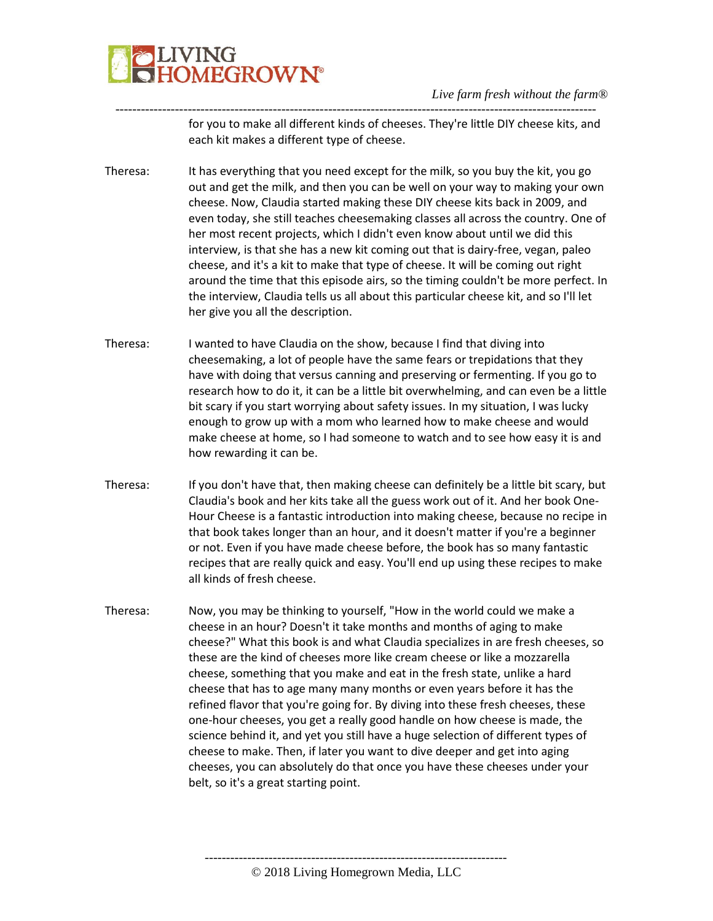

---------------------------------------------------------------------------------------------------------------- for you to make all different kinds of cheeses. They're little DIY cheese kits, and each kit makes a different type of cheese.

- Theresa: It has everything that you need except for the milk, so you buy the kit, you go out and get the milk, and then you can be well on your way to making your own cheese. Now, Claudia started making these DIY cheese kits back in 2009, and even today, she still teaches cheesemaking classes all across the country. One of her most recent projects, which I didn't even know about until we did this interview, is that she has a new kit coming out that is dairy-free, vegan, paleo cheese, and it's a kit to make that type of cheese. It will be coming out right around the time that this episode airs, so the timing couldn't be more perfect. In the interview, Claudia tells us all about this particular cheese kit, and so I'll let her give you all the description.
- Theresa: I wanted to have Claudia on the show, because I find that diving into cheesemaking, a lot of people have the same fears or trepidations that they have with doing that versus canning and preserving or fermenting. If you go to research how to do it, it can be a little bit overwhelming, and can even be a little bit scary if you start worrying about safety issues. In my situation, I was lucky enough to grow up with a mom who learned how to make cheese and would make cheese at home, so I had someone to watch and to see how easy it is and how rewarding it can be.
- Theresa: If you don't have that, then making cheese can definitely be a little bit scary, but Claudia's book and her kits take all the guess work out of it. And her book One-Hour Cheese is a fantastic introduction into making cheese, because no recipe in that book takes longer than an hour, and it doesn't matter if you're a beginner or not. Even if you have made cheese before, the book has so many fantastic recipes that are really quick and easy. You'll end up using these recipes to make all kinds of fresh cheese.
- Theresa: Now, you may be thinking to yourself, "How in the world could we make a cheese in an hour? Doesn't it take months and months of aging to make cheese?" What this book is and what Claudia specializes in are fresh cheeses, so these are the kind of cheeses more like cream cheese or like a mozzarella cheese, something that you make and eat in the fresh state, unlike a hard cheese that has to age many many months or even years before it has the refined flavor that you're going for. By diving into these fresh cheeses, these one-hour cheeses, you get a really good handle on how cheese is made, the science behind it, and yet you still have a huge selection of different types of cheese to make. Then, if later you want to dive deeper and get into aging cheeses, you can absolutely do that once you have these cheeses under your belt, so it's a great starting point.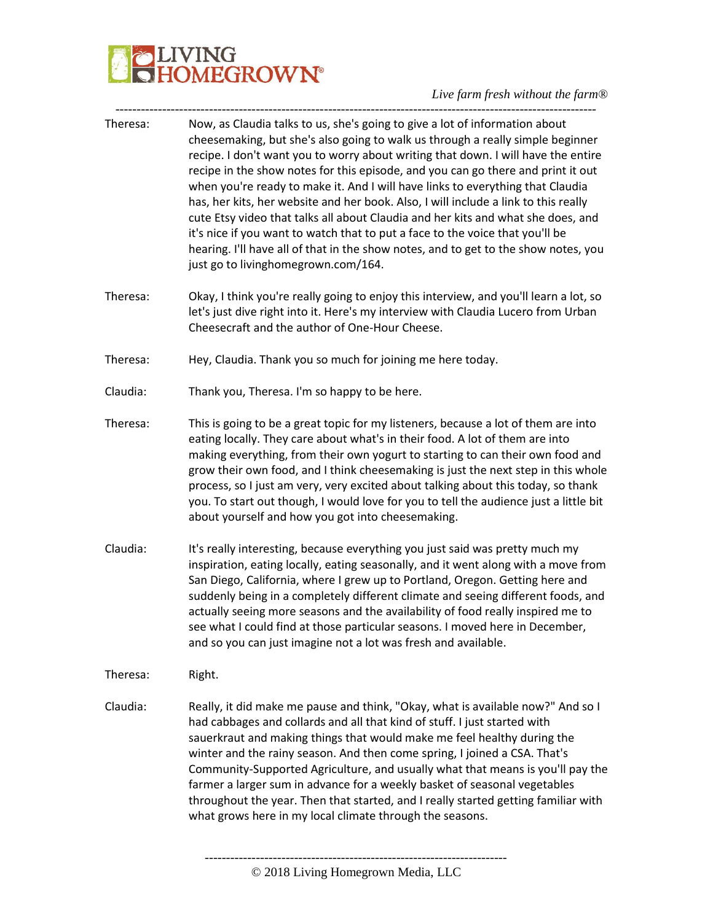# **PLIVING**<br>CHOMEGROWN®

#### *Live farm fresh without the farm®* -----------------------------------------------------------------------------------------------------------------

| Theresa: | Now, as Claudia talks to us, she's going to give a lot of information about<br>cheesemaking, but she's also going to walk us through a really simple beginner<br>recipe. I don't want you to worry about writing that down. I will have the entire<br>recipe in the show notes for this episode, and you can go there and print it out<br>when you're ready to make it. And I will have links to everything that Claudia<br>has, her kits, her website and her book. Also, I will include a link to this really<br>cute Etsy video that talks all about Claudia and her kits and what she does, and<br>it's nice if you want to watch that to put a face to the voice that you'll be<br>hearing. I'll have all of that in the show notes, and to get to the show notes, you<br>just go to livinghomegrown.com/164. |
|----------|--------------------------------------------------------------------------------------------------------------------------------------------------------------------------------------------------------------------------------------------------------------------------------------------------------------------------------------------------------------------------------------------------------------------------------------------------------------------------------------------------------------------------------------------------------------------------------------------------------------------------------------------------------------------------------------------------------------------------------------------------------------------------------------------------------------------|
| Theresa: | Okay, I think you're really going to enjoy this interview, and you'll learn a lot, so<br>let's just dive right into it. Here's my interview with Claudia Lucero from Urban<br>Cheesecraft and the author of One-Hour Cheese.                                                                                                                                                                                                                                                                                                                                                                                                                                                                                                                                                                                       |
| Theresa: | Hey, Claudia. Thank you so much for joining me here today.                                                                                                                                                                                                                                                                                                                                                                                                                                                                                                                                                                                                                                                                                                                                                         |
| Claudia: | Thank you, Theresa. I'm so happy to be here.                                                                                                                                                                                                                                                                                                                                                                                                                                                                                                                                                                                                                                                                                                                                                                       |
| Theresa: | This is going to be a great topic for my listeners, because a lot of them are into<br>eating locally. They care about what's in their food. A lot of them are into<br>making everything, from their own yogurt to starting to can their own food and<br>grow their own food, and I think cheesemaking is just the next step in this whole<br>process, so I just am very, very excited about talking about this today, so thank<br>you. To start out though, I would love for you to tell the audience just a little bit<br>about yourself and how you got into cheesemaking.                                                                                                                                                                                                                                       |
| Claudia: | It's really interesting, because everything you just said was pretty much my<br>inspiration, eating locally, eating seasonally, and it went along with a move from<br>San Diego, California, where I grew up to Portland, Oregon. Getting here and<br>suddenly being in a completely different climate and seeing different foods, and<br>actually seeing more seasons and the availability of food really inspired me to<br>see what I could find at those particular seasons. I moved here in December,<br>and so you can just imagine not a lot was fresh and available.                                                                                                                                                                                                                                        |
| Theresa: | Right.                                                                                                                                                                                                                                                                                                                                                                                                                                                                                                                                                                                                                                                                                                                                                                                                             |
| Claudia: | Really, it did make me pause and think, "Okay, what is available now?" And so I<br>had cabbages and collards and all that kind of stuff. I just started with<br>sauerkraut and making things that would make me feel healthy during the<br>winter and the rainy season. And then come spring, I joined a CSA. That's<br>Community-Supported Agriculture, and usually what that means is you'll pay the<br>farmer a larger sum in advance for a weekly basket of seasonal vegetables<br>throughout the year. Then that started, and I really started getting familiar with<br>what grows here in my local climate through the seasons.                                                                                                                                                                              |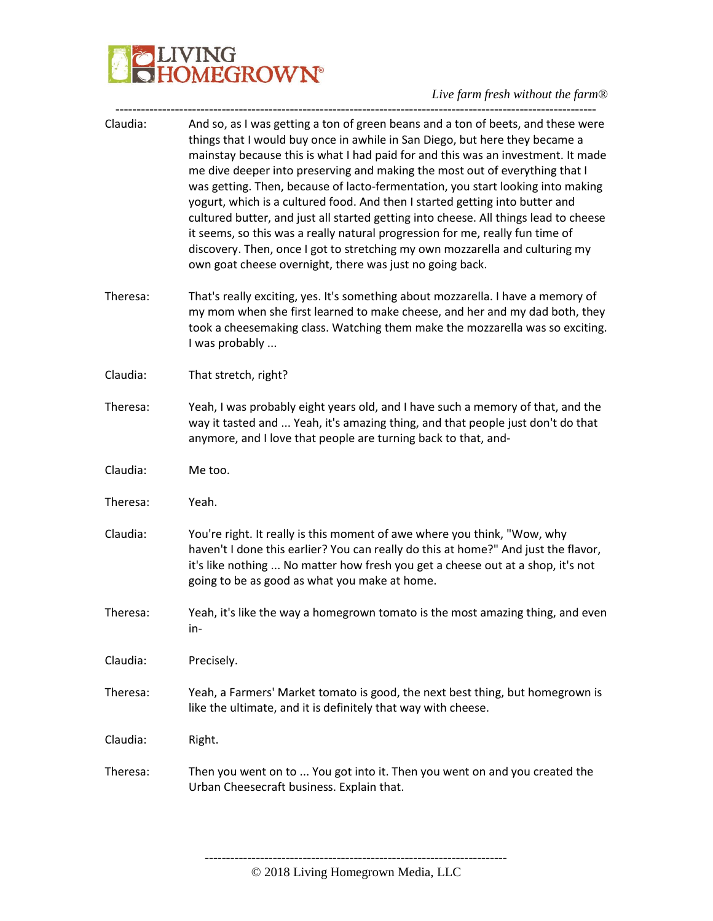# **PLIVING**<br>CHOMEGROWN®

*Live farm fresh without the farm®* -----------------------------------------------------------------------------------------------------------------

| Claudia: | And so, as I was getting a ton of green beans and a ton of beets, and these were<br>things that I would buy once in awhile in San Diego, but here they became a<br>mainstay because this is what I had paid for and this was an investment. It made<br>me dive deeper into preserving and making the most out of everything that I<br>was getting. Then, because of lacto-fermentation, you start looking into making<br>yogurt, which is a cultured food. And then I started getting into butter and<br>cultured butter, and just all started getting into cheese. All things lead to cheese<br>it seems, so this was a really natural progression for me, really fun time of<br>discovery. Then, once I got to stretching my own mozzarella and culturing my<br>own goat cheese overnight, there was just no going back. |
|----------|----------------------------------------------------------------------------------------------------------------------------------------------------------------------------------------------------------------------------------------------------------------------------------------------------------------------------------------------------------------------------------------------------------------------------------------------------------------------------------------------------------------------------------------------------------------------------------------------------------------------------------------------------------------------------------------------------------------------------------------------------------------------------------------------------------------------------|
| Theresa: | That's really exciting, yes. It's something about mozzarella. I have a memory of<br>my mom when she first learned to make cheese, and her and my dad both, they<br>took a cheesemaking class. Watching them make the mozzarella was so exciting.<br>I was probably                                                                                                                                                                                                                                                                                                                                                                                                                                                                                                                                                         |
| Claudia: | That stretch, right?                                                                                                                                                                                                                                                                                                                                                                                                                                                                                                                                                                                                                                                                                                                                                                                                       |
| Theresa: | Yeah, I was probably eight years old, and I have such a memory of that, and the<br>way it tasted and  Yeah, it's amazing thing, and that people just don't do that<br>anymore, and I love that people are turning back to that, and-                                                                                                                                                                                                                                                                                                                                                                                                                                                                                                                                                                                       |
| Claudia: | Me too.                                                                                                                                                                                                                                                                                                                                                                                                                                                                                                                                                                                                                                                                                                                                                                                                                    |
| Theresa: | Yeah.                                                                                                                                                                                                                                                                                                                                                                                                                                                                                                                                                                                                                                                                                                                                                                                                                      |
| Claudia: | You're right. It really is this moment of awe where you think, "Wow, why<br>haven't I done this earlier? You can really do this at home?" And just the flavor,<br>it's like nothing  No matter how fresh you get a cheese out at a shop, it's not<br>going to be as good as what you make at home.                                                                                                                                                                                                                                                                                                                                                                                                                                                                                                                         |
| Theresa: | Yeah, it's like the way a homegrown tomato is the most amazing thing, and even<br>in-                                                                                                                                                                                                                                                                                                                                                                                                                                                                                                                                                                                                                                                                                                                                      |
| Claudia: | Precisely.                                                                                                                                                                                                                                                                                                                                                                                                                                                                                                                                                                                                                                                                                                                                                                                                                 |
| Theresa: | Yeah, a Farmers' Market tomato is good, the next best thing, but homegrown is<br>like the ultimate, and it is definitely that way with cheese.                                                                                                                                                                                                                                                                                                                                                                                                                                                                                                                                                                                                                                                                             |
| Claudia: | Right.                                                                                                                                                                                                                                                                                                                                                                                                                                                                                                                                                                                                                                                                                                                                                                                                                     |
| Theresa: | Then you went on to  You got into it. Then you went on and you created the<br>Urban Cheesecraft business. Explain that.                                                                                                                                                                                                                                                                                                                                                                                                                                                                                                                                                                                                                                                                                                    |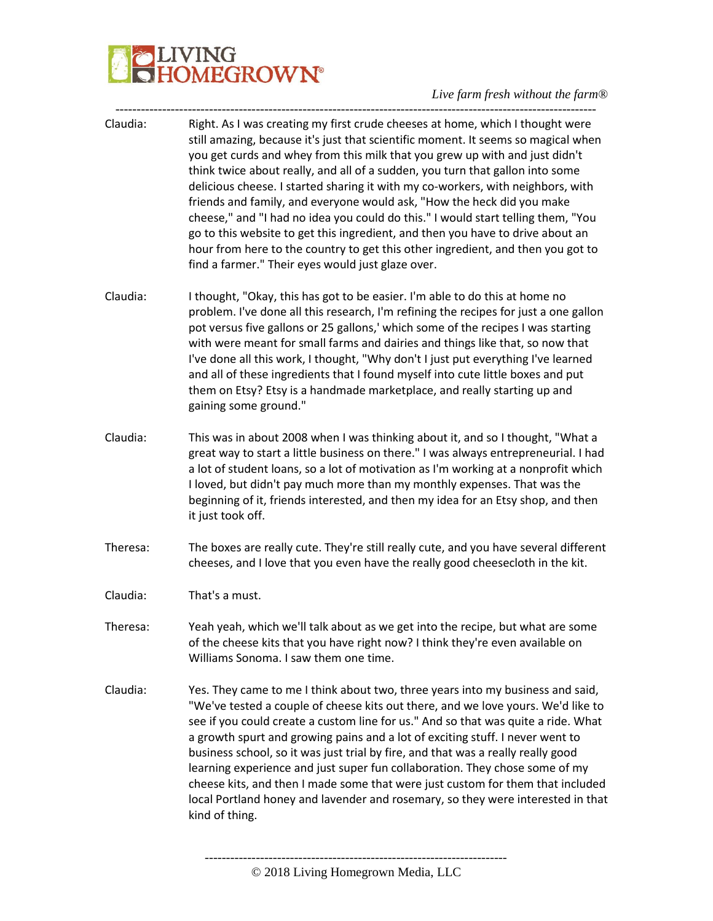| Right. As I was creating my first crude cheeses at home, which I thought were<br>still amazing, because it's just that scientific moment. It seems so magical when<br>you get curds and whey from this milk that you grew up with and just didn't<br>think twice about really, and all of a sudden, you turn that gallon into some<br>delicious cheese. I started sharing it with my co-workers, with neighbors, with<br>friends and family, and everyone would ask, "How the heck did you make<br>cheese," and "I had no idea you could do this." I would start telling them, "You<br>go to this website to get this ingredient, and then you have to drive about an<br>hour from here to the country to get this other ingredient, and then you got to<br>find a farmer." Their eyes would just glaze over. |
|---------------------------------------------------------------------------------------------------------------------------------------------------------------------------------------------------------------------------------------------------------------------------------------------------------------------------------------------------------------------------------------------------------------------------------------------------------------------------------------------------------------------------------------------------------------------------------------------------------------------------------------------------------------------------------------------------------------------------------------------------------------------------------------------------------------|
| I thought, "Okay, this has got to be easier. I'm able to do this at home no<br>problem. I've done all this research, I'm refining the recipes for just a one gallon<br>pot versus five gallons or 25 gallons,' which some of the recipes I was starting<br>with were meant for small farms and dairies and things like that, so now that<br>I've done all this work, I thought, "Why don't I just put everything I've learned<br>and all of these ingredients that I found myself into cute little boxes and put<br>them on Etsy? Etsy is a handmade marketplace, and really starting up and<br>gaining some ground."                                                                                                                                                                                         |
| This was in about 2008 when I was thinking about it, and so I thought, "What a<br>great way to start a little business on there." I was always entrepreneurial. I had<br>a lot of student loans, so a lot of motivation as I'm working at a nonprofit which<br>I loved, but didn't pay much more than my monthly expenses. That was the<br>beginning of it, friends interested, and then my idea for an Etsy shop, and then<br>it just took off.                                                                                                                                                                                                                                                                                                                                                              |
| The boxes are really cute. They're still really cute, and you have several different<br>cheeses, and I love that you even have the really good cheesecloth in the kit.                                                                                                                                                                                                                                                                                                                                                                                                                                                                                                                                                                                                                                        |
| That's a must.                                                                                                                                                                                                                                                                                                                                                                                                                                                                                                                                                                                                                                                                                                                                                                                                |
| Yeah yeah, which we'll talk about as we get into the recipe, but what are some<br>of the cheese kits that you have right now? I think they're even available on<br>Williams Sonoma. I saw them one time.                                                                                                                                                                                                                                                                                                                                                                                                                                                                                                                                                                                                      |
| Yes. They came to me I think about two, three years into my business and said,<br>"We've tested a couple of cheese kits out there, and we love yours. We'd like to<br>see if you could create a custom line for us." And so that was quite a ride. What<br>a growth spurt and growing pains and a lot of exciting stuff. I never went to<br>business school, so it was just trial by fire, and that was a really really good<br>learning experience and just super fun collaboration. They chose some of my<br>cheese kits, and then I made some that were just custom for them that included<br>local Portland honey and lavender and rosemary, so they were interested in that<br>kind of thing.                                                                                                            |
|                                                                                                                                                                                                                                                                                                                                                                                                                                                                                                                                                                                                                                                                                                                                                                                                               |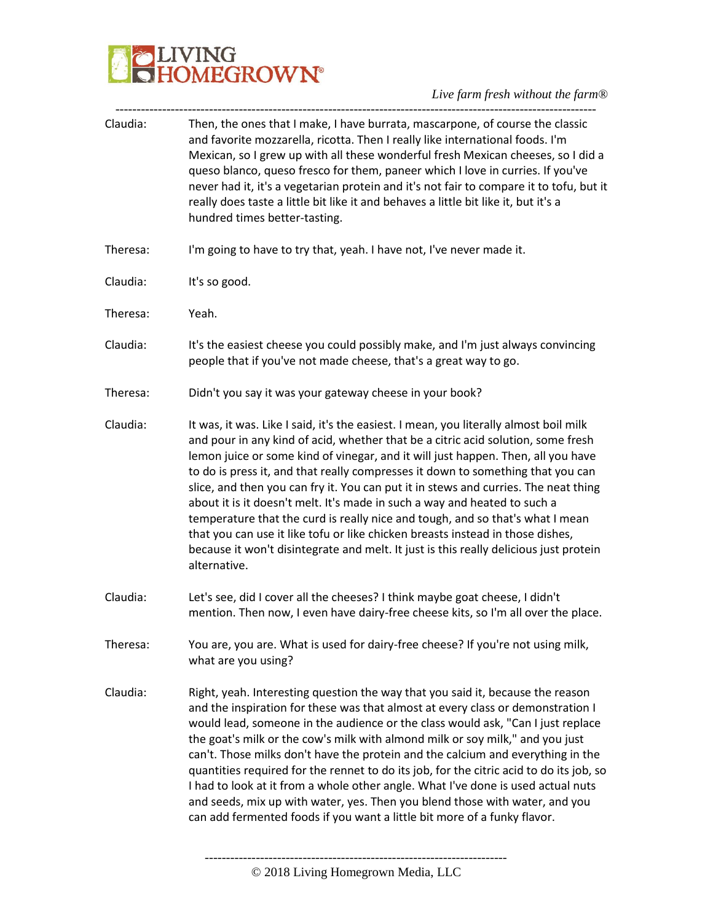*Live farm fresh without the farm®*

| Claudia:<br>hundred times better-tasting.<br>I'm going to have to try that, yeah. I have not, I've never made it.<br>It's so good.<br>Yeah.<br>people that if you've not made cheese, that's a great way to go.<br>Didn't you say it was your gateway cheese in your book?<br>alternative.<br>what are you using? |                                                                                                                                                                                                                                                                                                                                                                                                                                                                                                                                                                                                                                                                                                                                                                                  |
|-------------------------------------------------------------------------------------------------------------------------------------------------------------------------------------------------------------------------------------------------------------------------------------------------------------------|----------------------------------------------------------------------------------------------------------------------------------------------------------------------------------------------------------------------------------------------------------------------------------------------------------------------------------------------------------------------------------------------------------------------------------------------------------------------------------------------------------------------------------------------------------------------------------------------------------------------------------------------------------------------------------------------------------------------------------------------------------------------------------|
| Theresa:                                                                                                                                                                                                                                                                                                          | Then, the ones that I make, I have burrata, mascarpone, of course the classic<br>and favorite mozzarella, ricotta. Then I really like international foods. I'm<br>Mexican, so I grew up with all these wonderful fresh Mexican cheeses, so I did a<br>queso blanco, queso fresco for them, paneer which I love in curries. If you've<br>never had it, it's a vegetarian protein and it's not fair to compare it to tofu, but it<br>really does taste a little bit like it and behaves a little bit like it, but it's a                                                                                                                                                                                                                                                           |
| Claudia:<br>Theresa:<br>Claudia:<br>Theresa:<br>Claudia:<br>Claudia:<br>Theresa:<br>Claudia:                                                                                                                                                                                                                      |                                                                                                                                                                                                                                                                                                                                                                                                                                                                                                                                                                                                                                                                                                                                                                                  |
|                                                                                                                                                                                                                                                                                                                   |                                                                                                                                                                                                                                                                                                                                                                                                                                                                                                                                                                                                                                                                                                                                                                                  |
|                                                                                                                                                                                                                                                                                                                   |                                                                                                                                                                                                                                                                                                                                                                                                                                                                                                                                                                                                                                                                                                                                                                                  |
|                                                                                                                                                                                                                                                                                                                   | It's the easiest cheese you could possibly make, and I'm just always convincing                                                                                                                                                                                                                                                                                                                                                                                                                                                                                                                                                                                                                                                                                                  |
|                                                                                                                                                                                                                                                                                                                   |                                                                                                                                                                                                                                                                                                                                                                                                                                                                                                                                                                                                                                                                                                                                                                                  |
|                                                                                                                                                                                                                                                                                                                   | It was, it was. Like I said, it's the easiest. I mean, you literally almost boil milk<br>and pour in any kind of acid, whether that be a citric acid solution, some fresh<br>lemon juice or some kind of vinegar, and it will just happen. Then, all you have<br>to do is press it, and that really compresses it down to something that you can<br>slice, and then you can fry it. You can put it in stews and curries. The neat thing<br>about it is it doesn't melt. It's made in such a way and heated to such a<br>temperature that the curd is really nice and tough, and so that's what I mean<br>that you can use it like tofu or like chicken breasts instead in those dishes,<br>because it won't disintegrate and melt. It just is this really delicious just protein |
|                                                                                                                                                                                                                                                                                                                   | Let's see, did I cover all the cheeses? I think maybe goat cheese, I didn't<br>mention. Then now, I even have dairy-free cheese kits, so I'm all over the place.                                                                                                                                                                                                                                                                                                                                                                                                                                                                                                                                                                                                                 |
|                                                                                                                                                                                                                                                                                                                   | You are, you are. What is used for dairy-free cheese? If you're not using milk,                                                                                                                                                                                                                                                                                                                                                                                                                                                                                                                                                                                                                                                                                                  |
|                                                                                                                                                                                                                                                                                                                   | Right, yeah. Interesting question the way that you said it, because the reason<br>and the inspiration for these was that almost at every class or demonstration I<br>would lead, someone in the audience or the class would ask, "Can I just replace<br>the goat's milk or the cow's milk with almond milk or soy milk," and you just<br>can't. Those milks don't have the protein and the calcium and everything in the<br>quantities required for the rennet to do its job, for the citric acid to do its job, so<br>I had to look at it from a whole other angle. What I've done is used actual nuts<br>and seeds, mix up with water, yes. Then you blend those with water, and you<br>can add fermented foods if you want a little bit more of a funky flavor.               |

----------------------------------------------------------------------- © 2018 Living Homegrown Media, LLC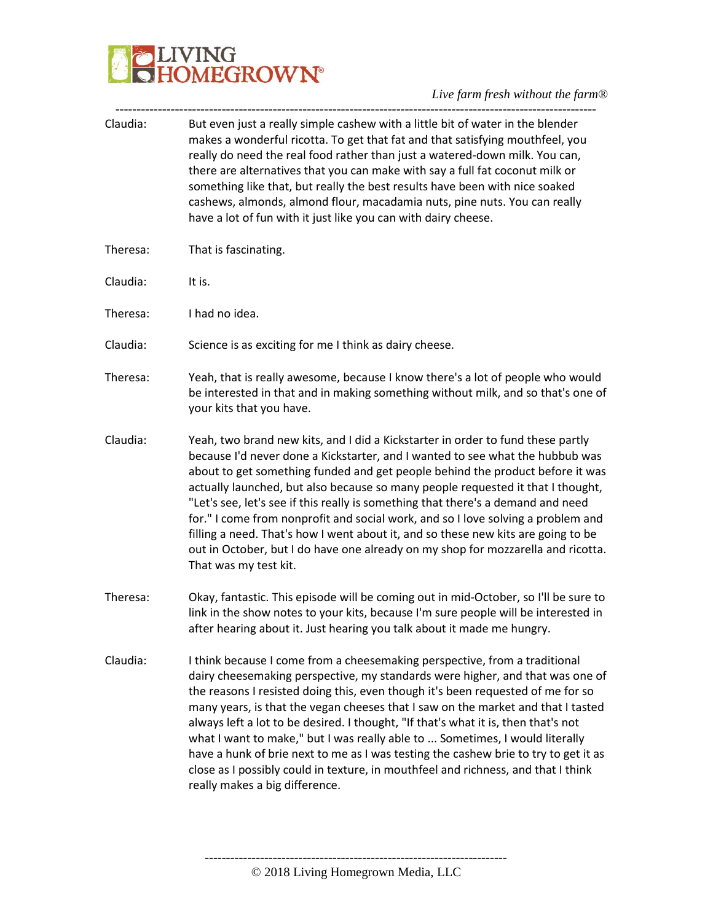

| Claudia: | But even just a really simple cashew with a little bit of water in the blender<br>makes a wonderful ricotta. To get that fat and that satisfying mouthfeel, you<br>really do need the real food rather than just a watered-down milk. You can,<br>there are alternatives that you can make with say a full fat coconut milk or<br>something like that, but really the best results have been with nice soaked<br>cashews, almonds, almond flour, macadamia nuts, pine nuts. You can really<br>have a lot of fun with it just like you can with dairy cheese.                                                                                                                                                           |
|----------|------------------------------------------------------------------------------------------------------------------------------------------------------------------------------------------------------------------------------------------------------------------------------------------------------------------------------------------------------------------------------------------------------------------------------------------------------------------------------------------------------------------------------------------------------------------------------------------------------------------------------------------------------------------------------------------------------------------------|
| Theresa: | That is fascinating.                                                                                                                                                                                                                                                                                                                                                                                                                                                                                                                                                                                                                                                                                                   |
| Claudia: | It is.                                                                                                                                                                                                                                                                                                                                                                                                                                                                                                                                                                                                                                                                                                                 |
| Theresa: | I had no idea.                                                                                                                                                                                                                                                                                                                                                                                                                                                                                                                                                                                                                                                                                                         |
| Claudia: | Science is as exciting for me I think as dairy cheese.                                                                                                                                                                                                                                                                                                                                                                                                                                                                                                                                                                                                                                                                 |
| Theresa: | Yeah, that is really awesome, because I know there's a lot of people who would<br>be interested in that and in making something without milk, and so that's one of<br>your kits that you have.                                                                                                                                                                                                                                                                                                                                                                                                                                                                                                                         |
| Claudia: | Yeah, two brand new kits, and I did a Kickstarter in order to fund these partly<br>because I'd never done a Kickstarter, and I wanted to see what the hubbub was<br>about to get something funded and get people behind the product before it was<br>actually launched, but also because so many people requested it that I thought,<br>"Let's see, let's see if this really is something that there's a demand and need<br>for." I come from nonprofit and social work, and so I love solving a problem and<br>filling a need. That's how I went about it, and so these new kits are going to be<br>out in October, but I do have one already on my shop for mozzarella and ricotta.<br>That was my test kit.         |
| Theresa: | Okay, fantastic. This episode will be coming out in mid-October, so I'll be sure to<br>link in the show notes to your kits, because I'm sure people will be interested in<br>after hearing about it. Just hearing you talk about it made me hungry.                                                                                                                                                                                                                                                                                                                                                                                                                                                                    |
| Claudia: | I think because I come from a cheesemaking perspective, from a traditional<br>dairy cheesemaking perspective, my standards were higher, and that was one of<br>the reasons I resisted doing this, even though it's been requested of me for so<br>many years, is that the vegan cheeses that I saw on the market and that I tasted<br>always left a lot to be desired. I thought, "If that's what it is, then that's not<br>what I want to make," but I was really able to  Sometimes, I would literally<br>have a hunk of brie next to me as I was testing the cashew brie to try to get it as<br>close as I possibly could in texture, in mouthfeel and richness, and that I think<br>really makes a big difference. |

----------------------------------------------------------------------- © 2018 Living Homegrown Media, LLC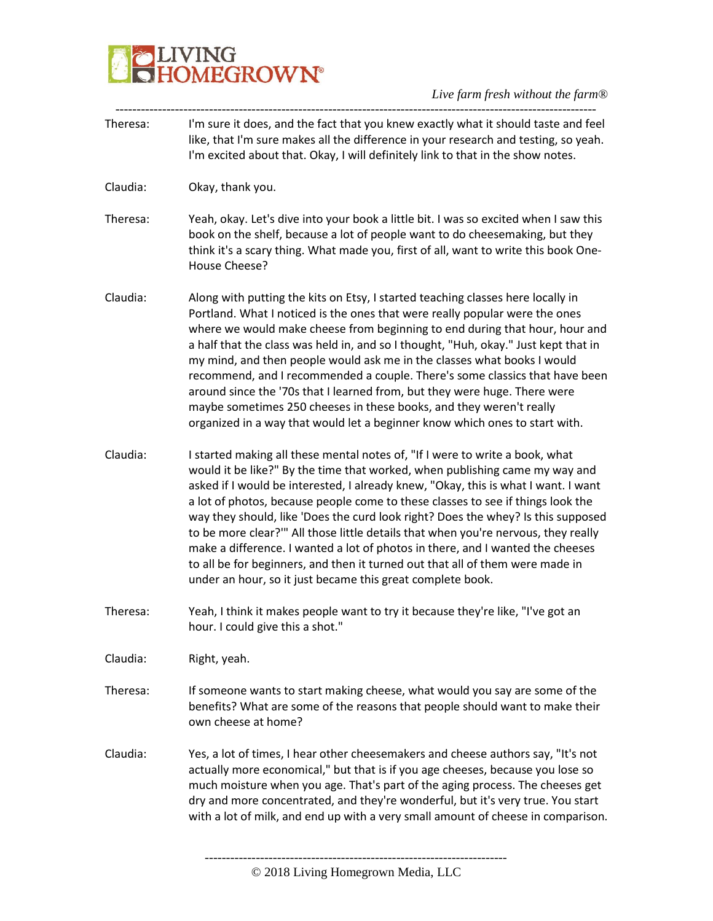### **ODELIVING**<br>CHOMEGROWN®

| Theresa: | I'm sure it does, and the fact that you knew exactly what it should taste and feel<br>like, that I'm sure makes all the difference in your research and testing, so yeah.<br>I'm excited about that. Okay, I will definitely link to that in the show notes.                                                                                                                                                                                                                                                                                                                                                                                                                                                                                   |
|----------|------------------------------------------------------------------------------------------------------------------------------------------------------------------------------------------------------------------------------------------------------------------------------------------------------------------------------------------------------------------------------------------------------------------------------------------------------------------------------------------------------------------------------------------------------------------------------------------------------------------------------------------------------------------------------------------------------------------------------------------------|
| Claudia: | Okay, thank you.                                                                                                                                                                                                                                                                                                                                                                                                                                                                                                                                                                                                                                                                                                                               |
| Theresa: | Yeah, okay. Let's dive into your book a little bit. I was so excited when I saw this<br>book on the shelf, because a lot of people want to do cheesemaking, but they<br>think it's a scary thing. What made you, first of all, want to write this book One-<br>House Cheese?                                                                                                                                                                                                                                                                                                                                                                                                                                                                   |
| Claudia: | Along with putting the kits on Etsy, I started teaching classes here locally in<br>Portland. What I noticed is the ones that were really popular were the ones<br>where we would make cheese from beginning to end during that hour, hour and<br>a half that the class was held in, and so I thought, "Huh, okay." Just kept that in<br>my mind, and then people would ask me in the classes what books I would<br>recommend, and I recommended a couple. There's some classics that have been<br>around since the '70s that I learned from, but they were huge. There were<br>maybe sometimes 250 cheeses in these books, and they weren't really<br>organized in a way that would let a beginner know which ones to start with.              |
| Claudia: | I started making all these mental notes of, "If I were to write a book, what<br>would it be like?" By the time that worked, when publishing came my way and<br>asked if I would be interested, I already knew, "Okay, this is what I want. I want<br>a lot of photos, because people come to these classes to see if things look the<br>way they should, like 'Does the curd look right? Does the whey? Is this supposed<br>to be more clear?" All those little details that when you're nervous, they really<br>make a difference. I wanted a lot of photos in there, and I wanted the cheeses<br>to all be for beginners, and then it turned out that all of them were made in<br>under an hour, so it just became this great complete book. |
| Theresa: | Yeah, I think it makes people want to try it because they're like, "I've got an<br>hour. I could give this a shot."                                                                                                                                                                                                                                                                                                                                                                                                                                                                                                                                                                                                                            |
| Claudia: | Right, yeah.                                                                                                                                                                                                                                                                                                                                                                                                                                                                                                                                                                                                                                                                                                                                   |
| Theresa: | If someone wants to start making cheese, what would you say are some of the<br>benefits? What are some of the reasons that people should want to make their<br>own cheese at home?                                                                                                                                                                                                                                                                                                                                                                                                                                                                                                                                                             |
| Claudia: | Yes, a lot of times, I hear other cheesemakers and cheese authors say, "It's not<br>actually more economical," but that is if you age cheeses, because you lose so<br>much moisture when you age. That's part of the aging process. The cheeses get<br>dry and more concentrated, and they're wonderful, but it's very true. You start<br>with a lot of milk, and end up with a very small amount of cheese in comparison.                                                                                                                                                                                                                                                                                                                     |
|          |                                                                                                                                                                                                                                                                                                                                                                                                                                                                                                                                                                                                                                                                                                                                                |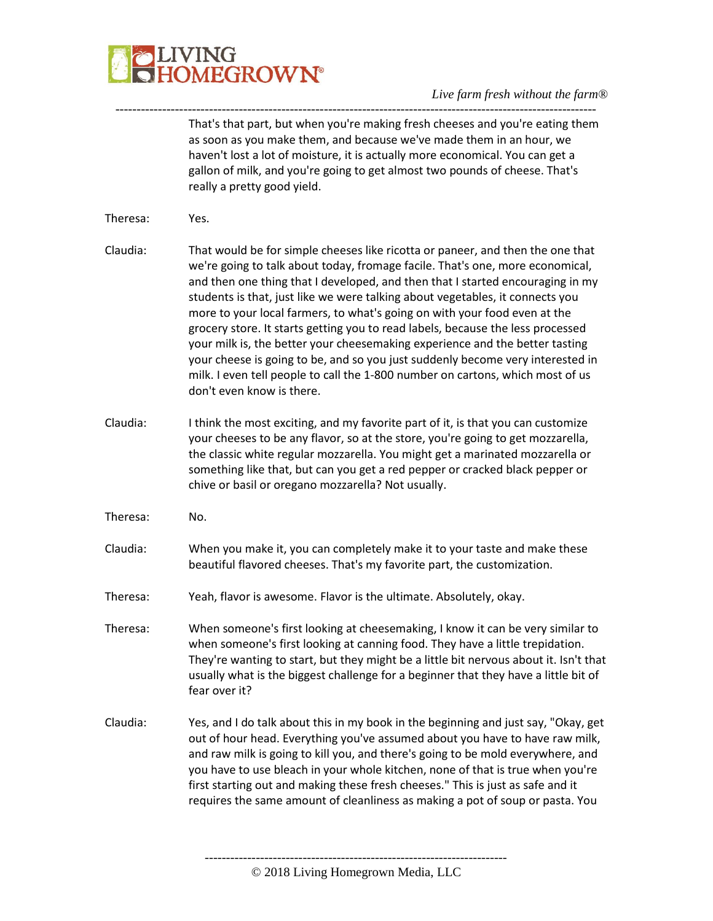

----------------------------------------------------------------------------------------------------------------- That's that part, but when you're making fresh cheeses and you're eating them as soon as you make them, and because we've made them in an hour, we haven't lost a lot of moisture, it is actually more economical. You can get a gallon of milk, and you're going to get almost two pounds of cheese. That's really a pretty good yield.

- Theresa: Yes.
- Claudia: That would be for simple cheeses like ricotta or paneer, and then the one that we're going to talk about today, fromage facile. That's one, more economical, and then one thing that I developed, and then that I started encouraging in my students is that, just like we were talking about vegetables, it connects you more to your local farmers, to what's going on with your food even at the grocery store. It starts getting you to read labels, because the less processed your milk is, the better your cheesemaking experience and the better tasting your cheese is going to be, and so you just suddenly become very interested in milk. I even tell people to call the 1-800 number on cartons, which most of us don't even know is there.
- Claudia: I think the most exciting, and my favorite part of it, is that you can customize your cheeses to be any flavor, so at the store, you're going to get mozzarella, the classic white regular mozzarella. You might get a marinated mozzarella or something like that, but can you get a red pepper or cracked black pepper or chive or basil or oregano mozzarella? Not usually.
- Theresa: No.
- Claudia: When you make it, you can completely make it to your taste and make these beautiful flavored cheeses. That's my favorite part, the customization.
- Theresa: Yeah, flavor is awesome. Flavor is the ultimate. Absolutely, okay.
- Theresa: When someone's first looking at cheesemaking, I know it can be very similar to when someone's first looking at canning food. They have a little trepidation. They're wanting to start, but they might be a little bit nervous about it. Isn't that usually what is the biggest challenge for a beginner that they have a little bit of fear over it?
- Claudia: Yes, and I do talk about this in my book in the beginning and just say, "Okay, get out of hour head. Everything you've assumed about you have to have raw milk, and raw milk is going to kill you, and there's going to be mold everywhere, and you have to use bleach in your whole kitchen, none of that is true when you're first starting out and making these fresh cheeses." This is just as safe and it requires the same amount of cleanliness as making a pot of soup or pasta. You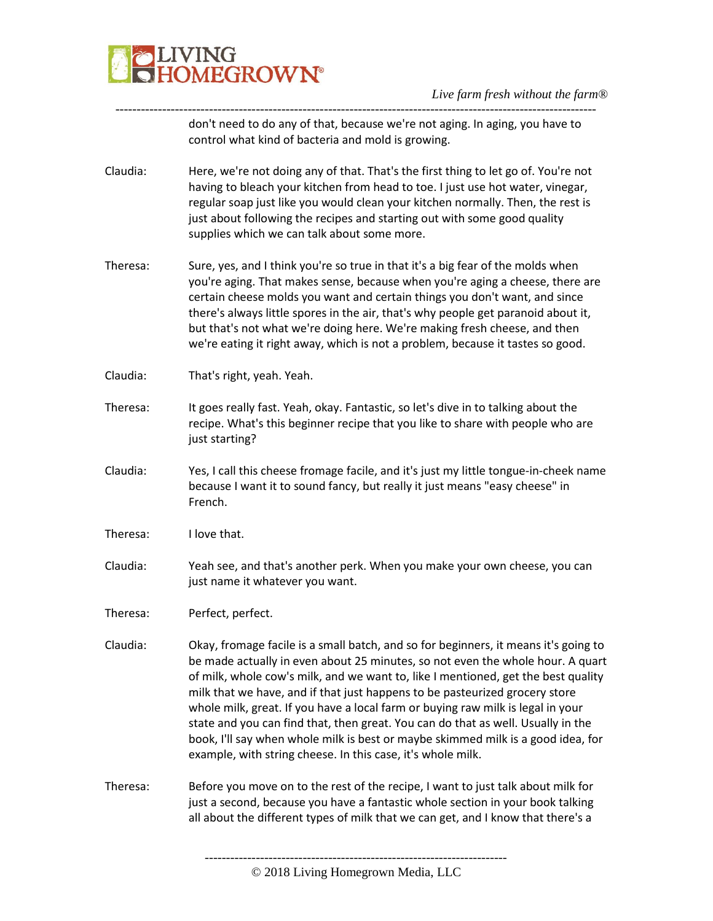

---------------------------------------------------------------------------------------------------------------- don't need to do any of that, because we're not aging. In aging, you have to control what kind of bacteria and mold is growing.

- Claudia: Here, we're not doing any of that. That's the first thing to let go of. You're not having to bleach your kitchen from head to toe. I just use hot water, vinegar, regular soap just like you would clean your kitchen normally. Then, the rest is just about following the recipes and starting out with some good quality supplies which we can talk about some more.
- Theresa: Sure, yes, and I think you're so true in that it's a big fear of the molds when you're aging. That makes sense, because when you're aging a cheese, there are certain cheese molds you want and certain things you don't want, and since there's always little spores in the air, that's why people get paranoid about it, but that's not what we're doing here. We're making fresh cheese, and then we're eating it right away, which is not a problem, because it tastes so good.
- Claudia: That's right, yeah. Yeah.
- Theresa: It goes really fast. Yeah, okay. Fantastic, so let's dive in to talking about the recipe. What's this beginner recipe that you like to share with people who are just starting?
- Claudia: Yes, I call this cheese fromage facile, and it's just my little tongue-in-cheek name because I want it to sound fancy, but really it just means "easy cheese" in French.
- Theresa: I love that.
- Claudia: Yeah see, and that's another perk. When you make your own cheese, you can just name it whatever you want.
- Theresa: Perfect, perfect.
- Claudia: Okay, fromage facile is a small batch, and so for beginners, it means it's going to be made actually in even about 25 minutes, so not even the whole hour. A quart of milk, whole cow's milk, and we want to, like I mentioned, get the best quality milk that we have, and if that just happens to be pasteurized grocery store whole milk, great. If you have a local farm or buying raw milk is legal in your state and you can find that, then great. You can do that as well. Usually in the book, I'll say when whole milk is best or maybe skimmed milk is a good idea, for example, with string cheese. In this case, it's whole milk.
- Theresa: Before you move on to the rest of the recipe, I want to just talk about milk for just a second, because you have a fantastic whole section in your book talking all about the different types of milk that we can get, and I know that there's a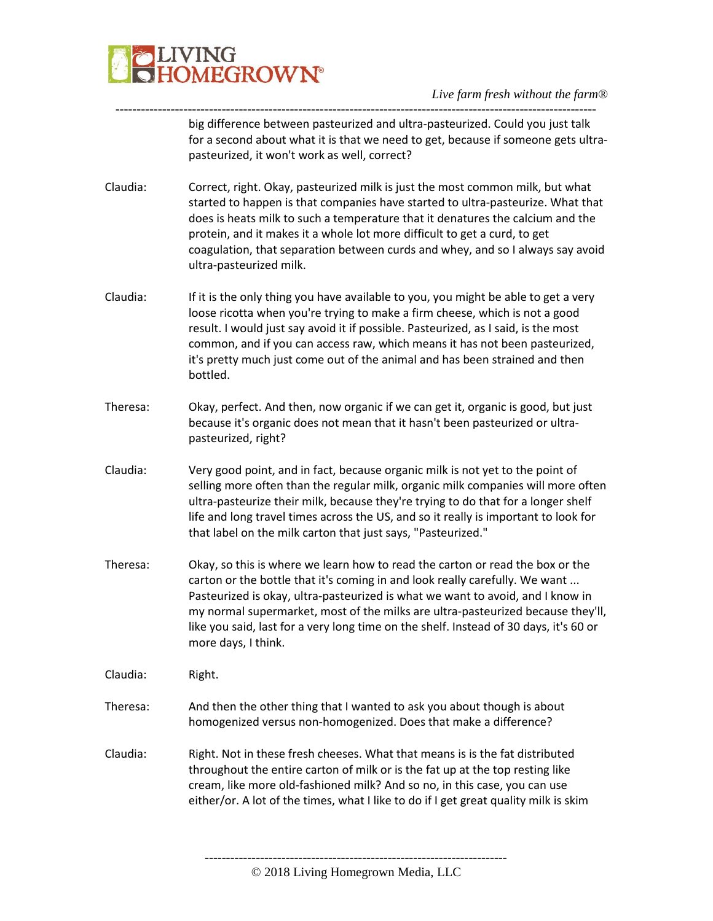

---------------------------------------------------------------------------------------------------------------- big difference between pasteurized and ultra-pasteurized. Could you just talk for a second about what it is that we need to get, because if someone gets ultrapasteurized, it won't work as well, correct?

- Claudia: Correct, right. Okay, pasteurized milk is just the most common milk, but what started to happen is that companies have started to ultra-pasteurize. What that does is heats milk to such a temperature that it denatures the calcium and the protein, and it makes it a whole lot more difficult to get a curd, to get coagulation, that separation between curds and whey, and so I always say avoid ultra-pasteurized milk.
- Claudia: If it is the only thing you have available to you, you might be able to get a very loose ricotta when you're trying to make a firm cheese, which is not a good result. I would just say avoid it if possible. Pasteurized, as I said, is the most common, and if you can access raw, which means it has not been pasteurized, it's pretty much just come out of the animal and has been strained and then bottled.
- Theresa: Okay, perfect. And then, now organic if we can get it, organic is good, but just because it's organic does not mean that it hasn't been pasteurized or ultrapasteurized, right?
- Claudia: Very good point, and in fact, because organic milk is not yet to the point of selling more often than the regular milk, organic milk companies will more often ultra-pasteurize their milk, because they're trying to do that for a longer shelf life and long travel times across the US, and so it really is important to look for that label on the milk carton that just says, "Pasteurized."
- Theresa: Okay, so this is where we learn how to read the carton or read the box or the carton or the bottle that it's coming in and look really carefully. We want ... Pasteurized is okay, ultra-pasteurized is what we want to avoid, and I know in my normal supermarket, most of the milks are ultra-pasteurized because they'll, like you said, last for a very long time on the shelf. Instead of 30 days, it's 60 or more days, I think.
- Claudia: Right.
- Theresa: And then the other thing that I wanted to ask you about though is about homogenized versus non-homogenized. Does that make a difference?
- Claudia: Right. Not in these fresh cheeses. What that means is is the fat distributed throughout the entire carton of milk or is the fat up at the top resting like cream, like more old-fashioned milk? And so no, in this case, you can use either/or. A lot of the times, what I like to do if I get great quality milk is skim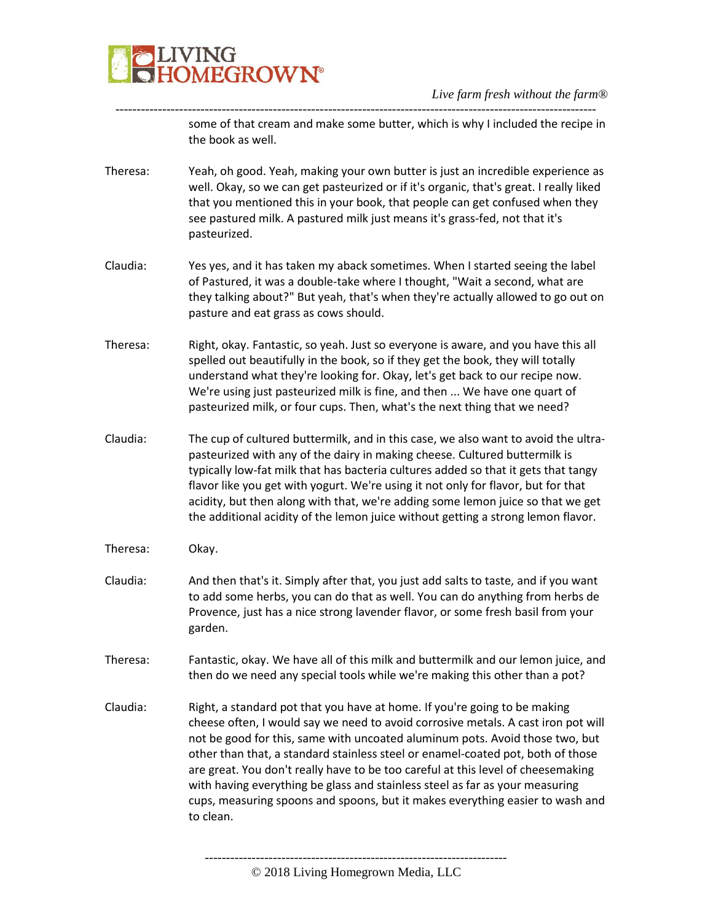

---------------------------------------------------------------------------------------------------------------- some of that cream and make some butter, which is why I included the recipe in the book as well.

Theresa: Yeah, oh good. Yeah, making your own butter is just an incredible experience as well. Okay, so we can get pasteurized or if it's organic, that's great. I really liked that you mentioned this in your book, that people can get confused when they see pastured milk. A pastured milk just means it's grass-fed, not that it's pasteurized.

- Claudia: Yes yes, and it has taken my aback sometimes. When I started seeing the label of Pastured, it was a double-take where I thought, "Wait a second, what are they talking about?" But yeah, that's when they're actually allowed to go out on pasture and eat grass as cows should.
- Theresa: Right, okay. Fantastic, so yeah. Just so everyone is aware, and you have this all spelled out beautifully in the book, so if they get the book, they will totally understand what they're looking for. Okay, let's get back to our recipe now. We're using just pasteurized milk is fine, and then ... We have one quart of pasteurized milk, or four cups. Then, what's the next thing that we need?
- Claudia: The cup of cultured buttermilk, and in this case, we also want to avoid the ultrapasteurized with any of the dairy in making cheese. Cultured buttermilk is typically low-fat milk that has bacteria cultures added so that it gets that tangy flavor like you get with yogurt. We're using it not only for flavor, but for that acidity, but then along with that, we're adding some lemon juice so that we get the additional acidity of the lemon juice without getting a strong lemon flavor.
- Theresa: Okay.
- Claudia: And then that's it. Simply after that, you just add salts to taste, and if you want to add some herbs, you can do that as well. You can do anything from herbs de Provence, just has a nice strong lavender flavor, or some fresh basil from your garden.
- Theresa: Fantastic, okay. We have all of this milk and buttermilk and our lemon juice, and then do we need any special tools while we're making this other than a pot?
- Claudia: Right, a standard pot that you have at home. If you're going to be making cheese often, I would say we need to avoid corrosive metals. A cast iron pot will not be good for this, same with uncoated aluminum pots. Avoid those two, but other than that, a standard stainless steel or enamel-coated pot, both of those are great. You don't really have to be too careful at this level of cheesemaking with having everything be glass and stainless steel as far as your measuring cups, measuring spoons and spoons, but it makes everything easier to wash and to clean.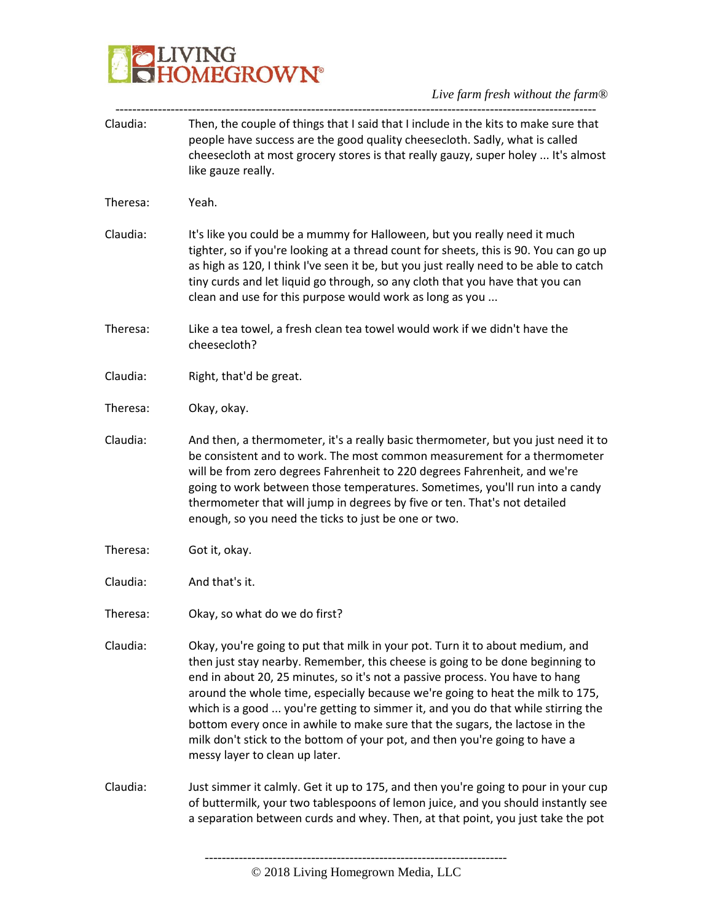

*Live farm fresh without the farm®* -----------------------------------------------------------------------------------------------------------------

| Claudia: | Then, the couple of things that I said that I include in the kits to make sure that<br>people have success are the good quality cheesecloth. Sadly, what is called<br>cheesecloth at most grocery stores is that really gauzy, super holey  It's almost<br>like gauze really.                                                                                                                                                                                                                                                                                                                                         |
|----------|-----------------------------------------------------------------------------------------------------------------------------------------------------------------------------------------------------------------------------------------------------------------------------------------------------------------------------------------------------------------------------------------------------------------------------------------------------------------------------------------------------------------------------------------------------------------------------------------------------------------------|
| Theresa: | Yeah.                                                                                                                                                                                                                                                                                                                                                                                                                                                                                                                                                                                                                 |
| Claudia: | It's like you could be a mummy for Halloween, but you really need it much<br>tighter, so if you're looking at a thread count for sheets, this is 90. You can go up<br>as high as 120, I think I've seen it be, but you just really need to be able to catch<br>tiny curds and let liquid go through, so any cloth that you have that you can<br>clean and use for this purpose would work as long as you                                                                                                                                                                                                              |
| Theresa: | Like a tea towel, a fresh clean tea towel would work if we didn't have the<br>cheesecloth?                                                                                                                                                                                                                                                                                                                                                                                                                                                                                                                            |
| Claudia: | Right, that'd be great.                                                                                                                                                                                                                                                                                                                                                                                                                                                                                                                                                                                               |
| Theresa: | Okay, okay.                                                                                                                                                                                                                                                                                                                                                                                                                                                                                                                                                                                                           |
| Claudia: | And then, a thermometer, it's a really basic thermometer, but you just need it to<br>be consistent and to work. The most common measurement for a thermometer<br>will be from zero degrees Fahrenheit to 220 degrees Fahrenheit, and we're<br>going to work between those temperatures. Sometimes, you'll run into a candy<br>thermometer that will jump in degrees by five or ten. That's not detailed<br>enough, so you need the ticks to just be one or two.                                                                                                                                                       |
| Theresa: | Got it, okay.                                                                                                                                                                                                                                                                                                                                                                                                                                                                                                                                                                                                         |
| Claudia: | And that's it.                                                                                                                                                                                                                                                                                                                                                                                                                                                                                                                                                                                                        |
| Theresa: | Okay, so what do we do first?                                                                                                                                                                                                                                                                                                                                                                                                                                                                                                                                                                                         |
| Claudia: | Okay, you're going to put that milk in your pot. Turn it to about medium, and<br>then just stay nearby. Remember, this cheese is going to be done beginning to<br>end in about 20, 25 minutes, so it's not a passive process. You have to hang<br>around the whole time, especially because we're going to heat the milk to 175,<br>which is a good  you're getting to simmer it, and you do that while stirring the<br>bottom every once in awhile to make sure that the sugars, the lactose in the<br>milk don't stick to the bottom of your pot, and then you're going to have a<br>messy layer to clean up later. |
| Claudia: | Just simmer it calmly. Get it up to 175, and then you're going to pour in your cup<br>of buttermilk, your two tablespoons of lemon juice, and you should instantly see<br>a separation between curds and whey. Then, at that point, you just take the pot                                                                                                                                                                                                                                                                                                                                                             |
|          |                                                                                                                                                                                                                                                                                                                                                                                                                                                                                                                                                                                                                       |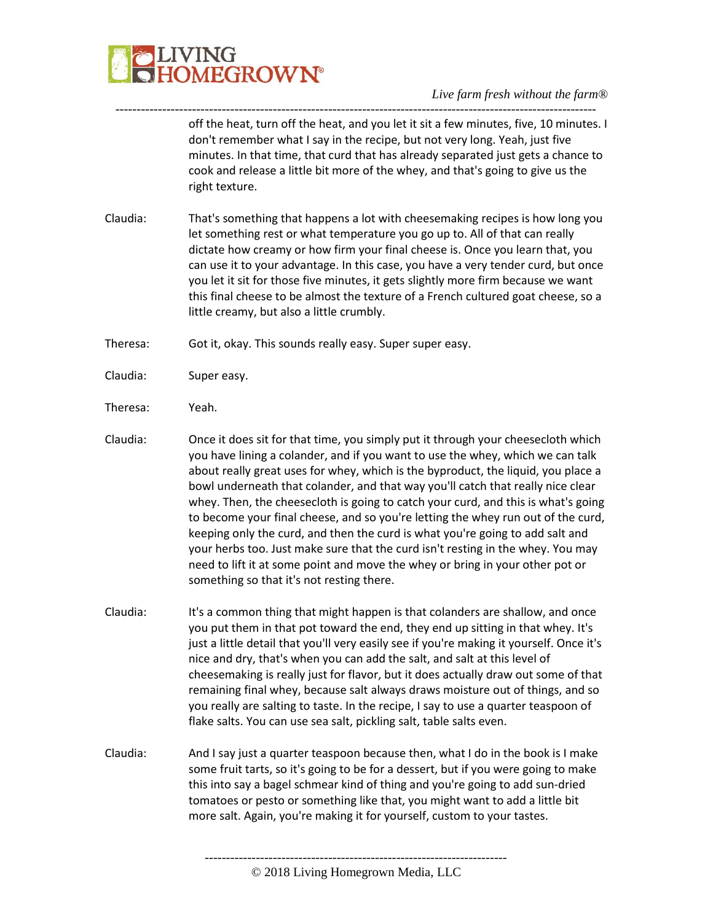

---------------------------------------------------------------------------------------------------------------- off the heat, turn off the heat, and you let it sit a few minutes, five, 10 minutes. I don't remember what I say in the recipe, but not very long. Yeah, just five minutes. In that time, that curd that has already separated just gets a chance to cook and release a little bit more of the whey, and that's going to give us the right texture.

Claudia: That's something that happens a lot with cheesemaking recipes is how long you let something rest or what temperature you go up to. All of that can really dictate how creamy or how firm your final cheese is. Once you learn that, you can use it to your advantage. In this case, you have a very tender curd, but once you let it sit for those five minutes, it gets slightly more firm because we want this final cheese to be almost the texture of a French cultured goat cheese, so a little creamy, but also a little crumbly.

Theresa: Got it, okay. This sounds really easy. Super super easy.

- Claudia: Super easy.
- Theresa: Yeah.
- Claudia: Once it does sit for that time, you simply put it through your cheesecloth which you have lining a colander, and if you want to use the whey, which we can talk about really great uses for whey, which is the byproduct, the liquid, you place a bowl underneath that colander, and that way you'll catch that really nice clear whey. Then, the cheesecloth is going to catch your curd, and this is what's going to become your final cheese, and so you're letting the whey run out of the curd, keeping only the curd, and then the curd is what you're going to add salt and your herbs too. Just make sure that the curd isn't resting in the whey. You may need to lift it at some point and move the whey or bring in your other pot or something so that it's not resting there.
- Claudia: It's a common thing that might happen is that colanders are shallow, and once you put them in that pot toward the end, they end up sitting in that whey. It's just a little detail that you'll very easily see if you're making it yourself. Once it's nice and dry, that's when you can add the salt, and salt at this level of cheesemaking is really just for flavor, but it does actually draw out some of that remaining final whey, because salt always draws moisture out of things, and so you really are salting to taste. In the recipe, I say to use a quarter teaspoon of flake salts. You can use sea salt, pickling salt, table salts even.
- Claudia: And I say just a quarter teaspoon because then, what I do in the book is I make some fruit tarts, so it's going to be for a dessert, but if you were going to make this into say a bagel schmear kind of thing and you're going to add sun-dried tomatoes or pesto or something like that, you might want to add a little bit more salt. Again, you're making it for yourself, custom to your tastes.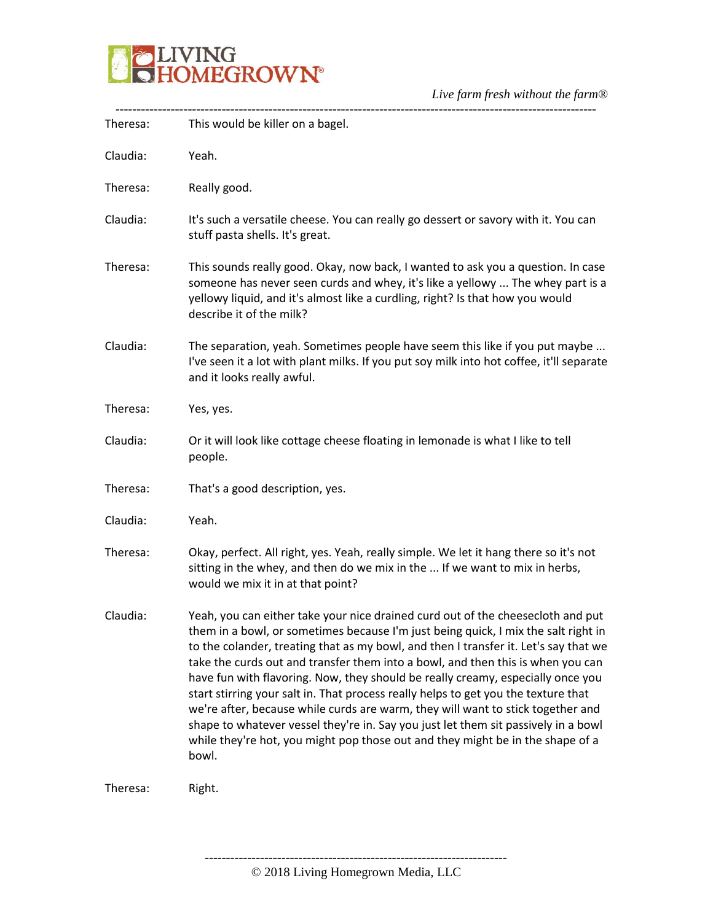

| Theresa: | This would be killer on a bagel.                                                                                                                                                                                                                                                                                                                                                                                                                                                                                                                                                                                                                                                                                                                                                              |
|----------|-----------------------------------------------------------------------------------------------------------------------------------------------------------------------------------------------------------------------------------------------------------------------------------------------------------------------------------------------------------------------------------------------------------------------------------------------------------------------------------------------------------------------------------------------------------------------------------------------------------------------------------------------------------------------------------------------------------------------------------------------------------------------------------------------|
| Claudia: | Yeah.                                                                                                                                                                                                                                                                                                                                                                                                                                                                                                                                                                                                                                                                                                                                                                                         |
| Theresa: | Really good.                                                                                                                                                                                                                                                                                                                                                                                                                                                                                                                                                                                                                                                                                                                                                                                  |
| Claudia: | It's such a versatile cheese. You can really go dessert or savory with it. You can<br>stuff pasta shells. It's great.                                                                                                                                                                                                                                                                                                                                                                                                                                                                                                                                                                                                                                                                         |
| Theresa: | This sounds really good. Okay, now back, I wanted to ask you a question. In case<br>someone has never seen curds and whey, it's like a yellowy  The whey part is a<br>yellowy liquid, and it's almost like a curdling, right? Is that how you would<br>describe it of the milk?                                                                                                                                                                                                                                                                                                                                                                                                                                                                                                               |
| Claudia: | The separation, yeah. Sometimes people have seem this like if you put maybe<br>I've seen it a lot with plant milks. If you put soy milk into hot coffee, it'll separate<br>and it looks really awful.                                                                                                                                                                                                                                                                                                                                                                                                                                                                                                                                                                                         |
| Theresa: | Yes, yes.                                                                                                                                                                                                                                                                                                                                                                                                                                                                                                                                                                                                                                                                                                                                                                                     |
| Claudia: | Or it will look like cottage cheese floating in lemonade is what I like to tell<br>people.                                                                                                                                                                                                                                                                                                                                                                                                                                                                                                                                                                                                                                                                                                    |
| Theresa: | That's a good description, yes.                                                                                                                                                                                                                                                                                                                                                                                                                                                                                                                                                                                                                                                                                                                                                               |
| Claudia: | Yeah.                                                                                                                                                                                                                                                                                                                                                                                                                                                                                                                                                                                                                                                                                                                                                                                         |
| Theresa: | Okay, perfect. All right, yes. Yeah, really simple. We let it hang there so it's not<br>sitting in the whey, and then do we mix in the  If we want to mix in herbs,<br>would we mix it in at that point?                                                                                                                                                                                                                                                                                                                                                                                                                                                                                                                                                                                      |
| Claudia: | Yeah, you can either take your nice drained curd out of the cheesecloth and put<br>them in a bowl, or sometimes because I'm just being quick, I mix the salt right in<br>to the colander, treating that as my bowl, and then I transfer it. Let's say that we<br>take the curds out and transfer them into a bowl, and then this is when you can<br>have fun with flavoring. Now, they should be really creamy, especially once you<br>start stirring your salt in. That process really helps to get you the texture that<br>we're after, because while curds are warm, they will want to stick together and<br>shape to whatever vessel they're in. Say you just let them sit passively in a bowl<br>while they're hot, you might pop those out and they might be in the shape of a<br>bowl. |
| Theresa: | Right.                                                                                                                                                                                                                                                                                                                                                                                                                                                                                                                                                                                                                                                                                                                                                                                        |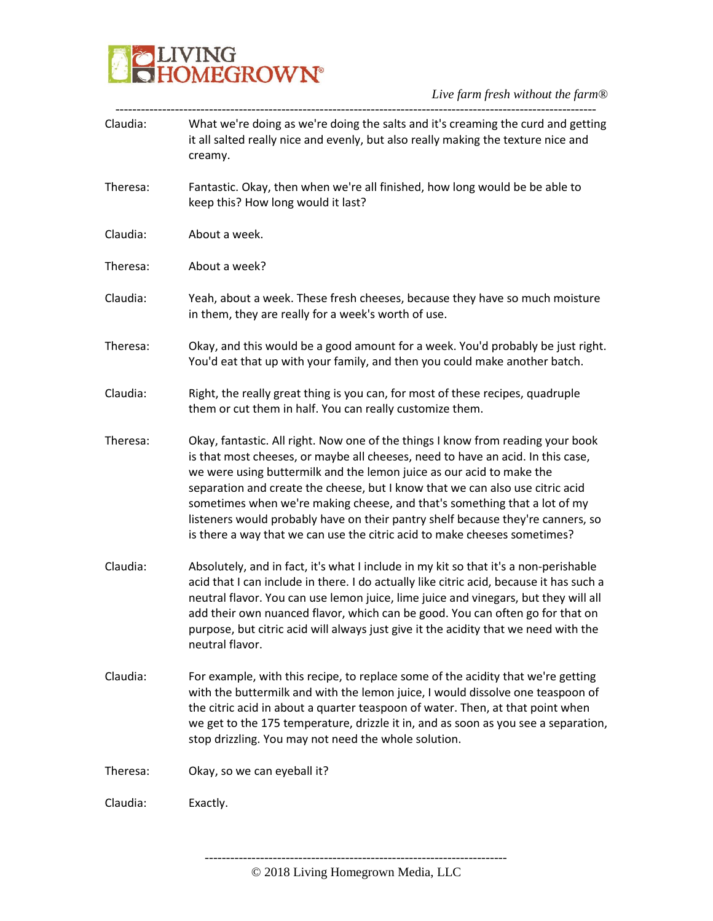

| Claudia: | What we're doing as we're doing the salts and it's creaming the curd and getting<br>it all salted really nice and evenly, but also really making the texture nice and<br>creamy.                                                                                                                                                                                                                                                                                                                                                                                         |
|----------|--------------------------------------------------------------------------------------------------------------------------------------------------------------------------------------------------------------------------------------------------------------------------------------------------------------------------------------------------------------------------------------------------------------------------------------------------------------------------------------------------------------------------------------------------------------------------|
| Theresa: | Fantastic. Okay, then when we're all finished, how long would be be able to<br>keep this? How long would it last?                                                                                                                                                                                                                                                                                                                                                                                                                                                        |
| Claudia: | About a week.                                                                                                                                                                                                                                                                                                                                                                                                                                                                                                                                                            |
| Theresa: | About a week?                                                                                                                                                                                                                                                                                                                                                                                                                                                                                                                                                            |
| Claudia: | Yeah, about a week. These fresh cheeses, because they have so much moisture<br>in them, they are really for a week's worth of use.                                                                                                                                                                                                                                                                                                                                                                                                                                       |
| Theresa: | Okay, and this would be a good amount for a week. You'd probably be just right.<br>You'd eat that up with your family, and then you could make another batch.                                                                                                                                                                                                                                                                                                                                                                                                            |
| Claudia: | Right, the really great thing is you can, for most of these recipes, quadruple<br>them or cut them in half. You can really customize them.                                                                                                                                                                                                                                                                                                                                                                                                                               |
| Theresa: | Okay, fantastic. All right. Now one of the things I know from reading your book<br>is that most cheeses, or maybe all cheeses, need to have an acid. In this case,<br>we were using buttermilk and the lemon juice as our acid to make the<br>separation and create the cheese, but I know that we can also use citric acid<br>sometimes when we're making cheese, and that's something that a lot of my<br>listeners would probably have on their pantry shelf because they're canners, so<br>is there a way that we can use the citric acid to make cheeses sometimes? |
| Claudia: | Absolutely, and in fact, it's what I include in my kit so that it's a non-perishable<br>acid that I can include in there. I do actually like citric acid, because it has such a<br>neutral flavor. You can use lemon juice, lime juice and vinegars, but they will all<br>add their own nuanced flavor, which can be good. You can often go for that on<br>purpose, but citric acid will always just give it the acidity that we need with the<br>neutral flavor.                                                                                                        |
| Claudia: | For example, with this recipe, to replace some of the acidity that we're getting<br>with the buttermilk and with the lemon juice, I would dissolve one teaspoon of<br>the citric acid in about a quarter teaspoon of water. Then, at that point when<br>we get to the 175 temperature, drizzle it in, and as soon as you see a separation,<br>stop drizzling. You may not need the whole solution.                                                                                                                                                                       |
| Theresa: | Okay, so we can eyeball it?                                                                                                                                                                                                                                                                                                                                                                                                                                                                                                                                              |
| Claudia: | Exactly.                                                                                                                                                                                                                                                                                                                                                                                                                                                                                                                                                                 |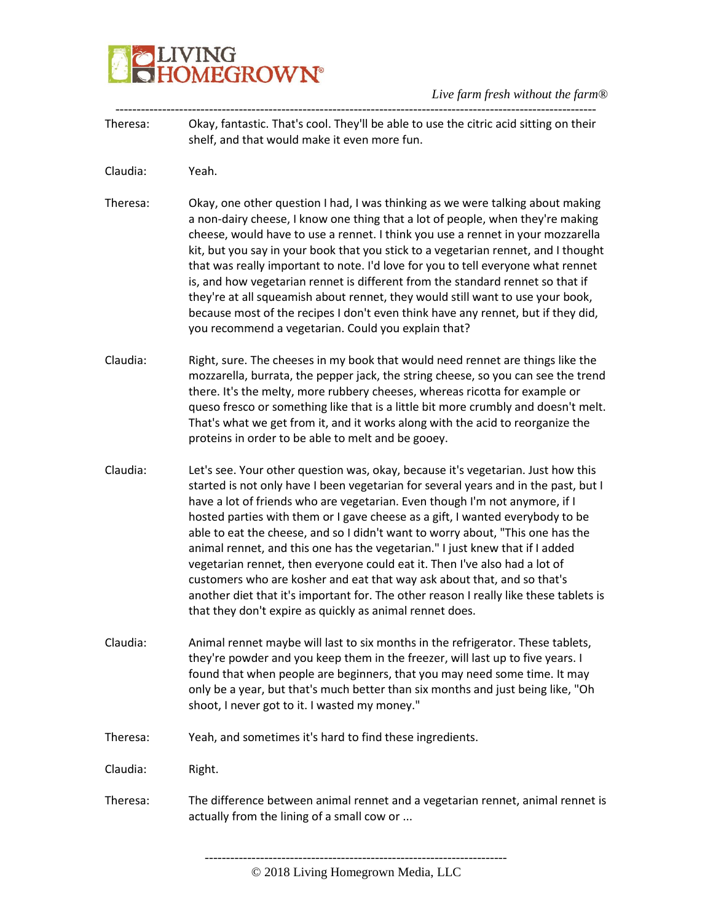| Theresa: | Okay, fantastic. That's cool. They'll be able to use the citric acid sitting on their<br>shelf, and that would make it even more fun.                                                                                                                                                                                                                                                                                                                                                                                                                                                                                                                                                                                                                                                                                   |
|----------|-------------------------------------------------------------------------------------------------------------------------------------------------------------------------------------------------------------------------------------------------------------------------------------------------------------------------------------------------------------------------------------------------------------------------------------------------------------------------------------------------------------------------------------------------------------------------------------------------------------------------------------------------------------------------------------------------------------------------------------------------------------------------------------------------------------------------|
| Claudia: | Yeah.                                                                                                                                                                                                                                                                                                                                                                                                                                                                                                                                                                                                                                                                                                                                                                                                                   |
| Theresa: | Okay, one other question I had, I was thinking as we were talking about making<br>a non-dairy cheese, I know one thing that a lot of people, when they're making<br>cheese, would have to use a rennet. I think you use a rennet in your mozzarella<br>kit, but you say in your book that you stick to a vegetarian rennet, and I thought<br>that was really important to note. I'd love for you to tell everyone what rennet<br>is, and how vegetarian rennet is different from the standard rennet so that if<br>they're at all squeamish about rennet, they would still want to use your book,<br>because most of the recipes I don't even think have any rennet, but if they did,<br>you recommend a vegetarian. Could you explain that?                                                                            |
| Claudia: | Right, sure. The cheeses in my book that would need rennet are things like the<br>mozzarella, burrata, the pepper jack, the string cheese, so you can see the trend<br>there. It's the melty, more rubbery cheeses, whereas ricotta for example or<br>queso fresco or something like that is a little bit more crumbly and doesn't melt.<br>That's what we get from it, and it works along with the acid to reorganize the<br>proteins in order to be able to melt and be gooey.                                                                                                                                                                                                                                                                                                                                        |
| Claudia: | Let's see. Your other question was, okay, because it's vegetarian. Just how this<br>started is not only have I been vegetarian for several years and in the past, but I<br>have a lot of friends who are vegetarian. Even though I'm not anymore, if I<br>hosted parties with them or I gave cheese as a gift, I wanted everybody to be<br>able to eat the cheese, and so I didn't want to worry about, "This one has the<br>animal rennet, and this one has the vegetarian." I just knew that if I added<br>vegetarian rennet, then everyone could eat it. Then I've also had a lot of<br>customers who are kosher and eat that way ask about that, and so that's<br>another diet that it's important for. The other reason I really like these tablets is<br>that they don't expire as quickly as animal rennet does. |
| Claudia: | Animal rennet maybe will last to six months in the refrigerator. These tablets,<br>they're powder and you keep them in the freezer, will last up to five years. I<br>found that when people are beginners, that you may need some time. It may<br>only be a year, but that's much better than six months and just being like, "Oh<br>shoot, I never got to it. I wasted my money."                                                                                                                                                                                                                                                                                                                                                                                                                                      |
| Theresa: | Yeah, and sometimes it's hard to find these ingredients.                                                                                                                                                                                                                                                                                                                                                                                                                                                                                                                                                                                                                                                                                                                                                                |
| Claudia: | Right.                                                                                                                                                                                                                                                                                                                                                                                                                                                                                                                                                                                                                                                                                                                                                                                                                  |
| Theresa: | The difference between animal rennet and a vegetarian rennet, animal rennet is<br>actually from the lining of a small cow or                                                                                                                                                                                                                                                                                                                                                                                                                                                                                                                                                                                                                                                                                            |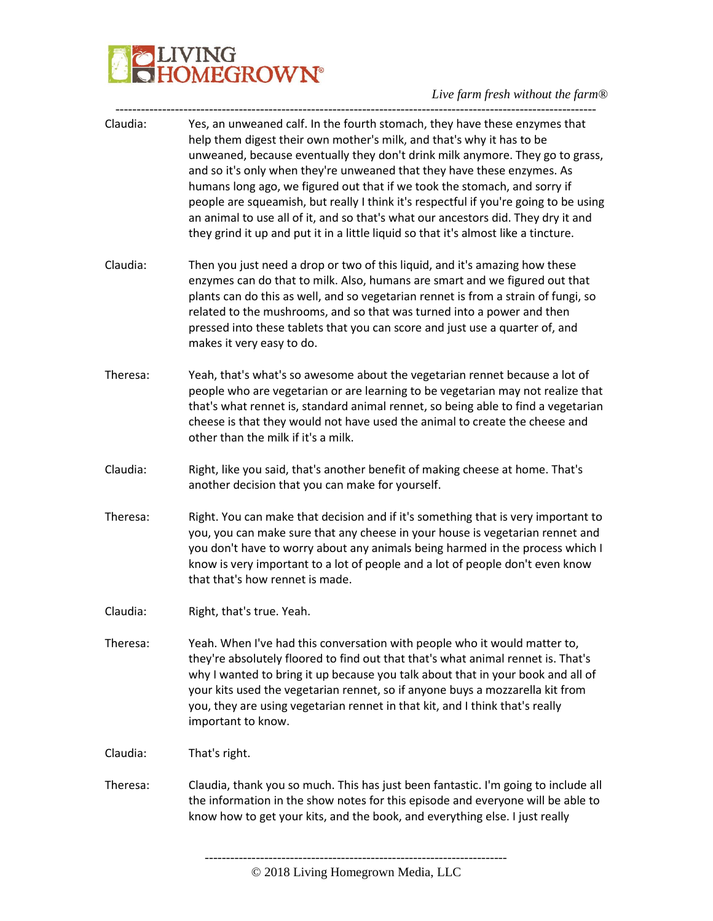| Claudia: | Yes, an unweaned calf. In the fourth stomach, they have these enzymes that<br>help them digest their own mother's milk, and that's why it has to be<br>unweaned, because eventually they don't drink milk anymore. They go to grass,<br>and so it's only when they're unweaned that they have these enzymes. As<br>humans long ago, we figured out that if we took the stomach, and sorry if<br>people are squeamish, but really I think it's respectful if you're going to be using<br>an animal to use all of it, and so that's what our ancestors did. They dry it and<br>they grind it up and put it in a little liquid so that it's almost like a tincture. |
|----------|------------------------------------------------------------------------------------------------------------------------------------------------------------------------------------------------------------------------------------------------------------------------------------------------------------------------------------------------------------------------------------------------------------------------------------------------------------------------------------------------------------------------------------------------------------------------------------------------------------------------------------------------------------------|
| Claudia: | Then you just need a drop or two of this liquid, and it's amazing how these<br>enzymes can do that to milk. Also, humans are smart and we figured out that<br>plants can do this as well, and so vegetarian rennet is from a strain of fungi, so<br>related to the mushrooms, and so that was turned into a power and then<br>pressed into these tablets that you can score and just use a quarter of, and<br>makes it very easy to do.                                                                                                                                                                                                                          |
| Theresa: | Yeah, that's what's so awesome about the vegetarian rennet because a lot of<br>people who are vegetarian or are learning to be vegetarian may not realize that<br>that's what rennet is, standard animal rennet, so being able to find a vegetarian<br>cheese is that they would not have used the animal to create the cheese and<br>other than the milk if it's a milk.                                                                                                                                                                                                                                                                                        |
| Claudia: | Right, like you said, that's another benefit of making cheese at home. That's<br>another decision that you can make for yourself.                                                                                                                                                                                                                                                                                                                                                                                                                                                                                                                                |
| Theresa: | Right. You can make that decision and if it's something that is very important to<br>you, you can make sure that any cheese in your house is vegetarian rennet and<br>you don't have to worry about any animals being harmed in the process which I<br>know is very important to a lot of people and a lot of people don't even know<br>that that's how rennet is made.                                                                                                                                                                                                                                                                                          |
| Claudia: | Right, that's true. Yeah.                                                                                                                                                                                                                                                                                                                                                                                                                                                                                                                                                                                                                                        |
| Theresa: | Yeah. When I've had this conversation with people who it would matter to,<br>they're absolutely floored to find out that that's what animal rennet is. That's<br>why I wanted to bring it up because you talk about that in your book and all of<br>your kits used the vegetarian rennet, so if anyone buys a mozzarella kit from<br>you, they are using vegetarian rennet in that kit, and I think that's really<br>important to know.                                                                                                                                                                                                                          |
| Claudia: | That's right.                                                                                                                                                                                                                                                                                                                                                                                                                                                                                                                                                                                                                                                    |
| Theresa: | Claudia, thank you so much. This has just been fantastic. I'm going to include all<br>the information in the show notes for this episode and everyone will be able to<br>know how to get your kits, and the book, and everything else. I just really                                                                                                                                                                                                                                                                                                                                                                                                             |